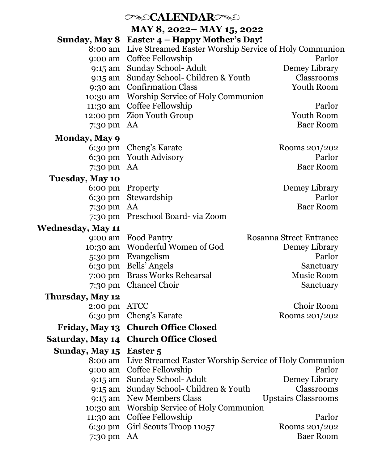| $\infty$ CALENDAR $\infty$ |                                                                |                                |  |  |
|----------------------------|----------------------------------------------------------------|--------------------------------|--|--|
| MAY 8, 2022 – MAY 15, 2022 |                                                                |                                |  |  |
| Sunday, May 8              | Easter 4 - Happy Mother's Day!                                 |                                |  |  |
| 8:00 am                    | Live Streamed Easter Worship Service of Holy Communion         |                                |  |  |
| 9:00 am                    | Coffee Fellowship                                              | Parlor                         |  |  |
| 9:15 am                    | Sunday School-Adult                                            | Demey Library                  |  |  |
| 9:15 am                    | Sunday School- Children & Youth                                | Classrooms                     |  |  |
| 9:30 am                    | <b>Confirmation Class</b>                                      | Youth Room                     |  |  |
| 10:30 am                   | Worship Service of Holy Communion                              |                                |  |  |
| 11:30 am                   | Coffee Fellowship                                              | Parlor                         |  |  |
| 12:00 pm                   | <b>Zion Youth Group</b>                                        | <b>Youth Room</b>              |  |  |
| 7:30 pm                    | AA                                                             | <b>Baer Room</b>               |  |  |
| <b>Monday, May 9</b>       |                                                                |                                |  |  |
| 6:30 pm                    | Cheng's Karate                                                 | Rooms 201/202                  |  |  |
| $6:30 \text{ pm}$          | <b>Youth Advisory</b>                                          | Parlor                         |  |  |
| 7:30 pm                    | AA                                                             | <b>Baer Room</b>               |  |  |
| <b>Tuesday, May 10</b>     |                                                                |                                |  |  |
| $6:00 \text{ pm}$          | Property                                                       | Demey Library                  |  |  |
| 6:30 pm                    | Stewardship                                                    | Parlor                         |  |  |
| 7:30 pm                    | AA                                                             | <b>Baer Room</b>               |  |  |
| 7:30 pm                    | Preschool Board-via Zoom                                       |                                |  |  |
| <b>Wednesday, May 11</b>   |                                                                |                                |  |  |
| 9:00 am                    | <b>Food Pantry</b>                                             | <b>Rosanna Street Entrance</b> |  |  |
| 10:30 am                   | Wonderful Women of God                                         | Demey Library                  |  |  |
|                            | 5:30 pm Evangelism                                             | Parlor                         |  |  |
| 6:30 pm                    | Bells' Angels                                                  | Sanctuary                      |  |  |
| 7:00 pm                    | <b>Brass Works Rehearsal</b>                                   | <b>Music Room</b>              |  |  |
| 7:30 pm                    | Chancel Choir                                                  | Sanctuary                      |  |  |
| Thursday, May 12           |                                                                |                                |  |  |
| 2:00 pm                    | <b>ATCC</b>                                                    | Choir Room                     |  |  |
| 6:30 pm                    | Cheng's Karate                                                 | Rooms 201/202                  |  |  |
| <b>Friday, May 13</b>      | <b>Church Office Closed</b>                                    |                                |  |  |
|                            | Saturday, May 14 Church Office Closed                          |                                |  |  |
| Sunday, May 15 Easter 5    |                                                                |                                |  |  |
|                            | 8:00 am Live Streamed Easter Worship Service of Holy Communion |                                |  |  |
| 9:00 am                    | Coffee Fellowship                                              | Parlor                         |  |  |
| 9:15 am                    | Sunday School-Adult                                            | Demey Library                  |  |  |
| 9:15 am                    | Sunday School- Children & Youth                                | Classrooms                     |  |  |
| 9:15 am                    | <b>New Members Class</b>                                       | <b>Upstairs Classrooms</b>     |  |  |
| 10:30 am                   | Worship Service of Holy Communion                              |                                |  |  |
| 11:30 am                   | Coffee Fellowship                                              | Parlor                         |  |  |
| 6:30 pm                    | Girl Scouts Troop 11057                                        | Rooms 201/202                  |  |  |
| 7:30 pm                    | AA                                                             | <b>Baer Room</b>               |  |  |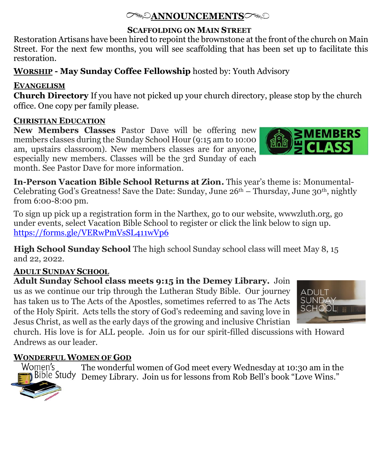## **ANNOUNCEMENTS**

#### **SCAFFOLDING ON MAIN STREET**

Restoration Artisans have been hired to repoint the brownstone at the front of the church on Main Street. For the next few months, you will see scaffolding that has been set up to facilitate this restoration.

## **WORSHIP - May Sunday Coffee Fellowship** hosted by: Youth Advisory

## **EVANGELISM**

**Church Directory** If you have not picked up your church directory, please stop by the church office. One copy per family please.

## **CHRISTIAN EDUCATION**

**New Members Classes** Pastor Dave will be offering new members classes during the Sunday School Hour (9:15 am to 10:00 am, upstairs classroom). New members classes are for anyone, especially new members. Classes will be the 3rd Sunday of each month. See Pastor Dave for more information.

**In-Person Vacation Bible School Returns at Zion.** This year's theme is: Monumental-Celebrating God's Greatness! Save the Date: Sunday, June  $26<sup>th</sup> - Thursday$ , June  $30<sup>th</sup>$ , nightly from 6:00-8:00 pm.

To sign up pick up a registration form in the Narthex, go to our website, wwwzluth.org, go under events, select Vacation Bible School to register or click the link below to sign up. <https://forms.gle/VERwPmVsSL411wVp6>

**High School Sunday School** The high school Sunday school class will meet May 8, 15 and 22, 2022.

## **ADULT SUNDAY SCHOOL**

**Adult Sunday School class meets 9:15 in the Demey Library.** Join us as we continue our trip through the Lutheran Study Bible. Our journey has taken us to The Acts of the Apostles, sometimes referred to as The Acts of the Holy Spirit. Acts tells the story of God's redeeming and saving love in Jesus Christ, as well as the early days of the growing and inclusive Christian

church. His love is for ALL people. Join us for our spirit-filled discussions with Howard Andrews as our leader.

## **WONDERFUL WOMEN OF GOD**

The wonderful women of God meet every Wednesday at 10:30 am in the Women's Demey Library. Join us for lessons from Rob Bell's book "Love Wins."





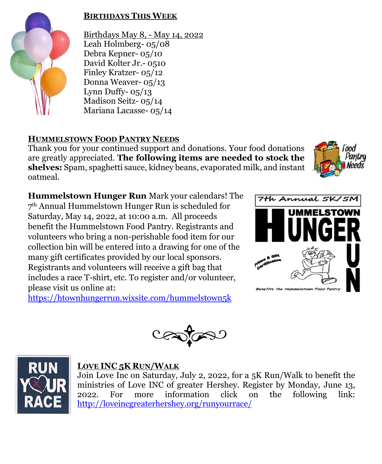

#### **BIRTHDAYS THIS WEEK**

Birthdays May 8, - May 14, 2022 Leah Holmberg- 05/08 Debra Kepner- 05/10 David Kolter Jr.- 0510 Finley Kratzer- 05/12 Donna Weaver- 05/13 Lynn Duffy- $05/13$ Madison Seitz- 05/14 Mariana Lacasse- 05/14

#### **HUMMELSTOWN FOOD PANTRY NEEDS**

Thank you for your continued support and donations. Your food donations are greatly appreciated. **The following items are needed to stock the shelves:** Spam, spaghetti sauce, kidney beans, evaporated milk, and instant oatmeal.



**Hummelstown Hunger Run** Mark your calendars! The 7 th Annual Hummelstown Hunger Run is scheduled for Saturday, May 14, 2022, at 10:00 a.m. All proceeds benefit the Hummelstown Food Pantry. Registrants and volunteers who bring a non-perishable food item for our collection bin will be entered into a drawing for one of the many gift certificates provided by our local sponsors. Registrants and volunteers will receive a gift bag that includes a race T-shirt, etc. To register and/or volunteer, please visit us online at:

<https://htownhungerrun.wixsite.com/hummelstown5k>





#### **LOVE INC 5K RUN/WALK**

Join Love Inc on Saturday, July 2, 2022, for a 5K Run/Walk to benefit the ministries of Love INC of greater Hershey. Register by Monday, June 13, 2022. For more information click on the following link: <http://loveincgreaterhershey.org/runyourrace/>